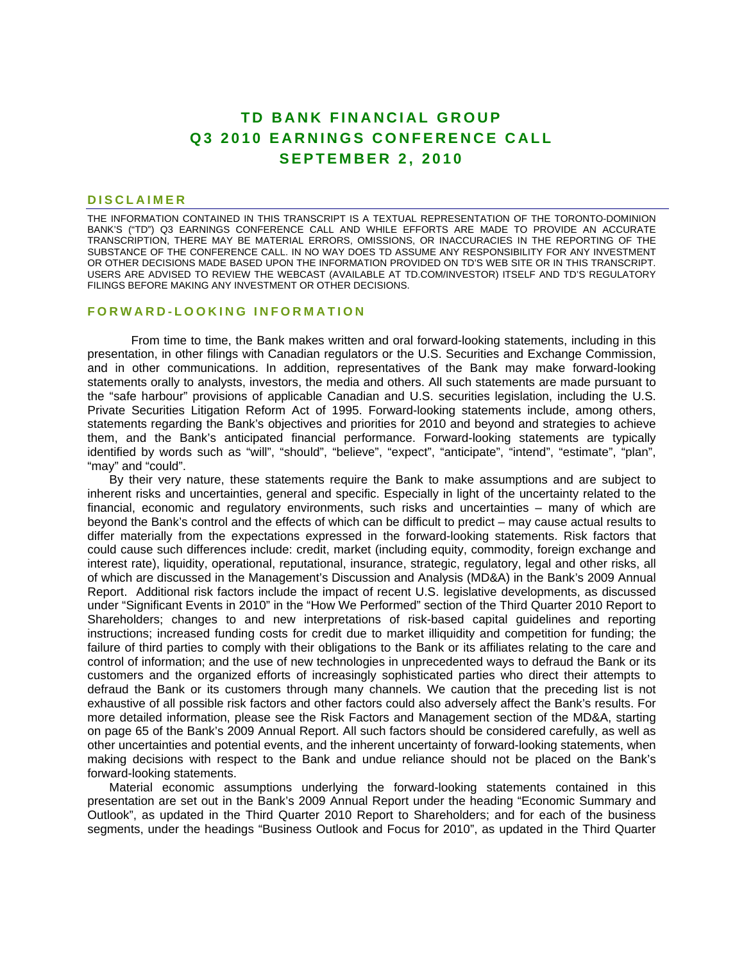# **TD BANK FINANCIAL GROUP Q3 2010 EARNINGS CONFERENCE CALL SEPTEMBER 2, 2010**

#### **DISCLAIMER**

THE INFORMATION CONTAINED IN THIS TRANSCRIPT IS A TEXTUAL REPRESENTATION OF THE TORONTO-DOMINION BANK'S ("TD") Q3 EARNINGS CONFERENCE CALL AND WHILE EFFORTS ARE MADE TO PROVIDE AN ACCURATE TRANSCRIPTION, THERE MAY BE MATERIAL ERRORS, OMISSIONS, OR INACCURACIES IN THE REPORTING OF THE SUBSTANCE OF THE CONFERENCE CALL. IN NO WAY DOES TD ASSUME ANY RESPONSIBILITY FOR ANY INVESTMENT OR OTHER DECISIONS MADE BASED UPON THE INFORMATION PROVIDED ON TD'S WEB SITE OR IN THIS TRANSCRIPT. USERS ARE ADVISED TO REVIEW THE WEBCAST (AVAILABLE AT TD.COM/INVESTOR) ITSELF AND TD'S REGULATORY FILINGS BEFORE MAKING ANY INVESTMENT OR OTHER DECISIONS.

#### **FORWARD-LOOKING INFORMATION**

From time to time, the Bank makes written and oral forward-looking statements, including in this presentation, in other filings with Canadian regulators or the U.S. Securities and Exchange Commission, and in other communications. In addition, representatives of the Bank may make forward-looking statements orally to analysts, investors, the media and others. All such statements are made pursuant to the "safe harbour" provisions of applicable Canadian and U.S. securities legislation, including the U.S. Private Securities Litigation Reform Act of 1995. Forward-looking statements include, among others, statements regarding the Bank's objectives and priorities for 2010 and beyond and strategies to achieve them, and the Bank's anticipated financial performance. Forward-looking statements are typically identified by words such as "will", "should", "believe", "expect", "anticipate", "intend", "estimate", "plan", "may" and "could".

By their very nature, these statements require the Bank to make assumptions and are subject to inherent risks and uncertainties, general and specific. Especially in light of the uncertainty related to the financial, economic and regulatory environments, such risks and uncertainties – many of which are beyond the Bank's control and the effects of which can be difficult to predict – may cause actual results to differ materially from the expectations expressed in the forward-looking statements. Risk factors that could cause such differences include: credit, market (including equity, commodity, foreign exchange and interest rate), liquidity, operational, reputational, insurance, strategic, regulatory, legal and other risks, all of which are discussed in the Management's Discussion and Analysis (MD&A) in the Bank's 2009 Annual Report. Additional risk factors include the impact of recent U.S. legislative developments, as discussed under "Significant Events in 2010" in the "How We Performed" section of the Third Quarter 2010 Report to Shareholders; changes to and new interpretations of risk-based capital guidelines and reporting instructions; increased funding costs for credit due to market illiquidity and competition for funding; the failure of third parties to comply with their obligations to the Bank or its affiliates relating to the care and control of information; and the use of new technologies in unprecedented ways to defraud the Bank or its customers and the organized efforts of increasingly sophisticated parties who direct their attempts to defraud the Bank or its customers through many channels. We caution that the preceding list is not exhaustive of all possible risk factors and other factors could also adversely affect the Bank's results. For more detailed information, please see the Risk Factors and Management section of the MD&A, starting on page 65 of the Bank's 2009 Annual Report. All such factors should be considered carefully, as well as other uncertainties and potential events, and the inherent uncertainty of forward-looking statements, when making decisions with respect to the Bank and undue reliance should not be placed on the Bank's forward-looking statements.

Material economic assumptions underlying the forward-looking statements contained in this presentation are set out in the Bank's 2009 Annual Report under the heading "Economic Summary and Outlook", as updated in the Third Quarter 2010 Report to Shareholders; and for each of the business segments, under the headings "Business Outlook and Focus for 2010", as updated in the Third Quarter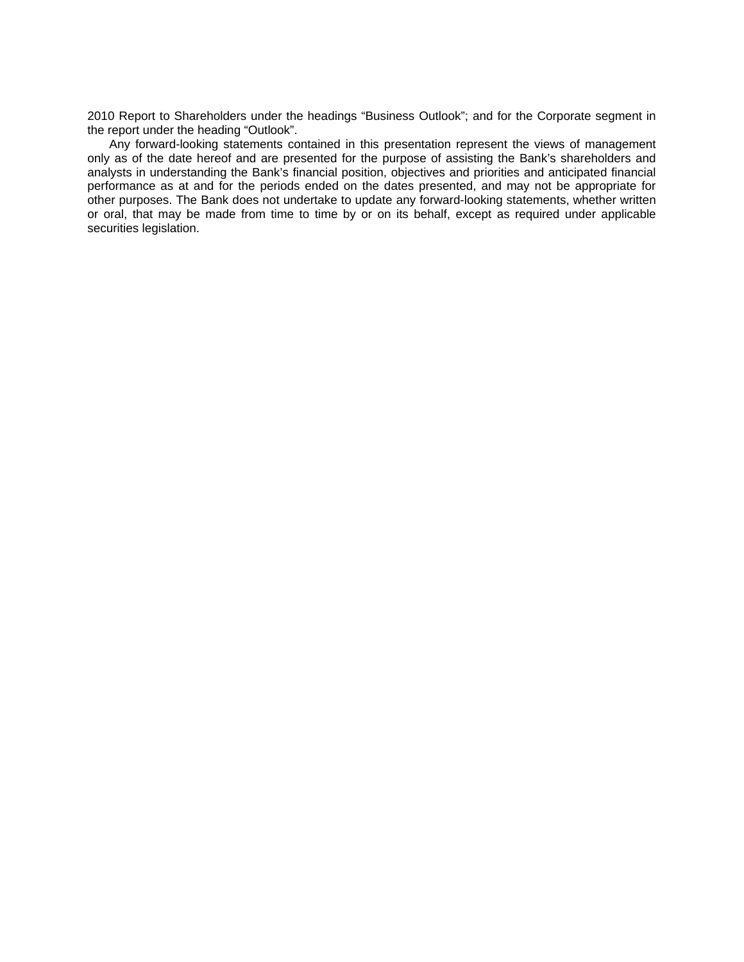2010 Report to Shareholders under the headings "Business Outlook"; and for the Corporate segment in the report under the heading "Outlook".

Any forward-looking statements contained in this presentation represent the views of management only as of the date hereof and are presented for the purpose of assisting the Bank's shareholders and analysts in understanding the Bank's financial position, objectives and priorities and anticipated financial performance as at and for the periods ended on the dates presented, and may not be appropriate for other purposes. The Bank does not undertake to update any forward-looking statements, whether written or oral, that may be made from time to time by or on its behalf, except as required under applicable securities legislation.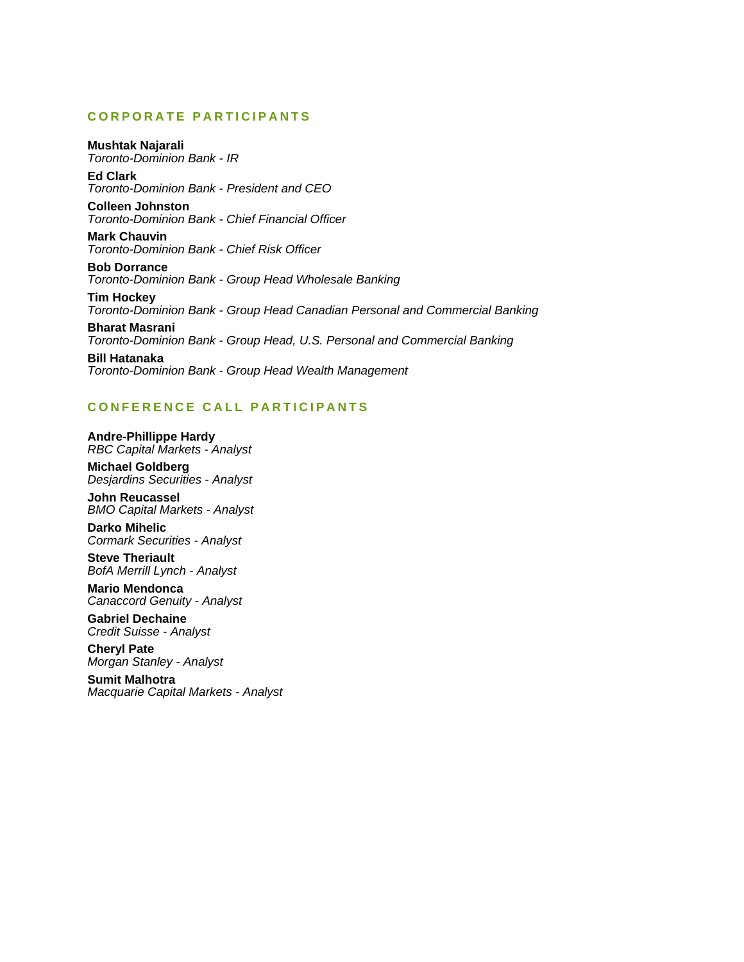## **CORPORATE PARTICIPANTS**

## **Mushtak Najarali**

*Toronto-Dominion Bank - IR* 

**Ed Clark**  *Toronto-Dominion Bank - President and CEO* 

**Colleen Johnston**  *Toronto-Dominion Bank - Chief Financial Officer* 

**Mark Chauvin**  *Toronto-Dominion Bank - Chief Risk Officer* 

**Bob Dorrance**  *Toronto-Dominion Bank - Group Head Wholesale Banking* 

**Tim Hockey**  *Toronto-Dominion Bank - Group Head Canadian Personal and Commercial Banking* 

**Bharat Masrani**  *Toronto-Dominion Bank - Group Head, U.S. Personal and Commercial Banking* 

**Bill Hatanaka**  *Toronto-Dominion Bank - Group Head Wealth Management* 

## **CONFERENCE CALL PARTICIPANTS**

**Andre-Phillippe Hardy**  *RBC Capital Markets - Analyst* 

**Michael Goldberg**  *Desjardins Securities - Analyst* 

**John Reucassel**  *BMO Capital Markets - Analyst* 

**Darko Mihelic**  *Cormark Securities - Analyst* 

**Steve Theriault**  *BofA Merrill Lynch - Analyst* 

**Mario Mendonca**  *Canaccord Genuity - Analyst* 

**Gabriel Dechaine**  *Credit Suisse - Analyst* 

**Cheryl Pate**  *Morgan Stanley - Analyst* 

**Sumit Malhotra**  *Macquarie Capital Markets - Analyst*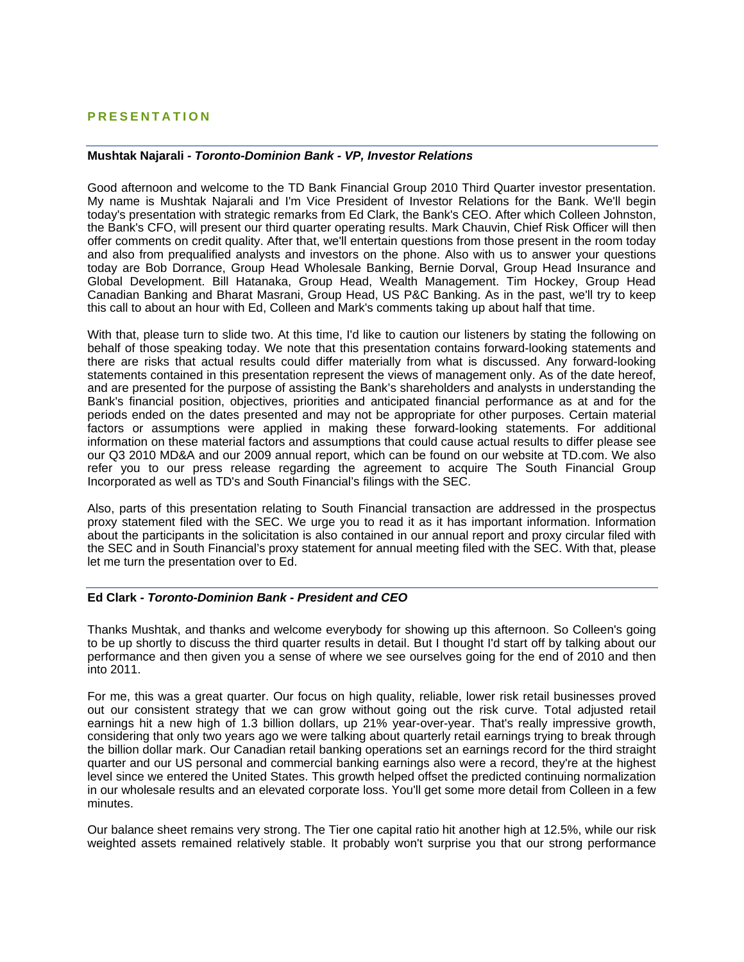## **PRESENTATION**

## **Mushtak Najarali** *- Toronto-Dominion Bank - VP, Investor Relations*

Good afternoon and welcome to the TD Bank Financial Group 2010 Third Quarter investor presentation. My name is Mushtak Najarali and I'm Vice President of Investor Relations for the Bank. We'll begin today's presentation with strategic remarks from Ed Clark, the Bank's CEO. After which Colleen Johnston, the Bank's CFO, will present our third quarter operating results. Mark Chauvin, Chief Risk Officer will then offer comments on credit quality. After that, we'll entertain questions from those present in the room today and also from prequalified analysts and investors on the phone. Also with us to answer your questions today are Bob Dorrance, Group Head Wholesale Banking, Bernie Dorval, Group Head Insurance and Global Development. Bill Hatanaka, Group Head, Wealth Management. Tim Hockey, Group Head Canadian Banking and Bharat Masrani, Group Head, US P&C Banking. As in the past, we'll try to keep this call to about an hour with Ed, Colleen and Mark's comments taking up about half that time.

With that, please turn to slide two. At this time, I'd like to caution our listeners by stating the following on behalf of those speaking today. We note that this presentation contains forward-looking statements and there are risks that actual results could differ materially from what is discussed. Any forward-looking statements contained in this presentation represent the views of management only. As of the date hereof, and are presented for the purpose of assisting the Bank's shareholders and analysts in understanding the Bank's financial position, objectives, priorities and anticipated financial performance as at and for the periods ended on the dates presented and may not be appropriate for other purposes. Certain material factors or assumptions were applied in making these forward-looking statements. For additional information on these material factors and assumptions that could cause actual results to differ please see our Q3 2010 MD&A and our 2009 annual report, which can be found on our website at TD.com. We also refer you to our press release regarding the agreement to acquire The South Financial Group Incorporated as well as TD's and South Financial's filings with the SEC.

Also, parts of this presentation relating to South Financial transaction are addressed in the prospectus proxy statement filed with the SEC. We urge you to read it as it has important information. Information about the participants in the solicitation is also contained in our annual report and proxy circular filed with the SEC and in South Financial's proxy statement for annual meeting filed with the SEC. With that, please let me turn the presentation over to Ed.

#### **Ed Clark** *- Toronto-Dominion Bank - President and CEO*

Thanks Mushtak, and thanks and welcome everybody for showing up this afternoon. So Colleen's going to be up shortly to discuss the third quarter results in detail. But I thought I'd start off by talking about our performance and then given you a sense of where we see ourselves going for the end of 2010 and then into 2011.

For me, this was a great quarter. Our focus on high quality, reliable, lower risk retail businesses proved out our consistent strategy that we can grow without going out the risk curve. Total adjusted retail earnings hit a new high of 1.3 billion dollars, up 21% year-over-year. That's really impressive growth, considering that only two years ago we were talking about quarterly retail earnings trying to break through the billion dollar mark. Our Canadian retail banking operations set an earnings record for the third straight quarter and our US personal and commercial banking earnings also were a record, they're at the highest level since we entered the United States. This growth helped offset the predicted continuing normalization in our wholesale results and an elevated corporate loss. You'll get some more detail from Colleen in a few minutes.

Our balance sheet remains very strong. The Tier one capital ratio hit another high at 12.5%, while our risk weighted assets remained relatively stable. It probably won't surprise you that our strong performance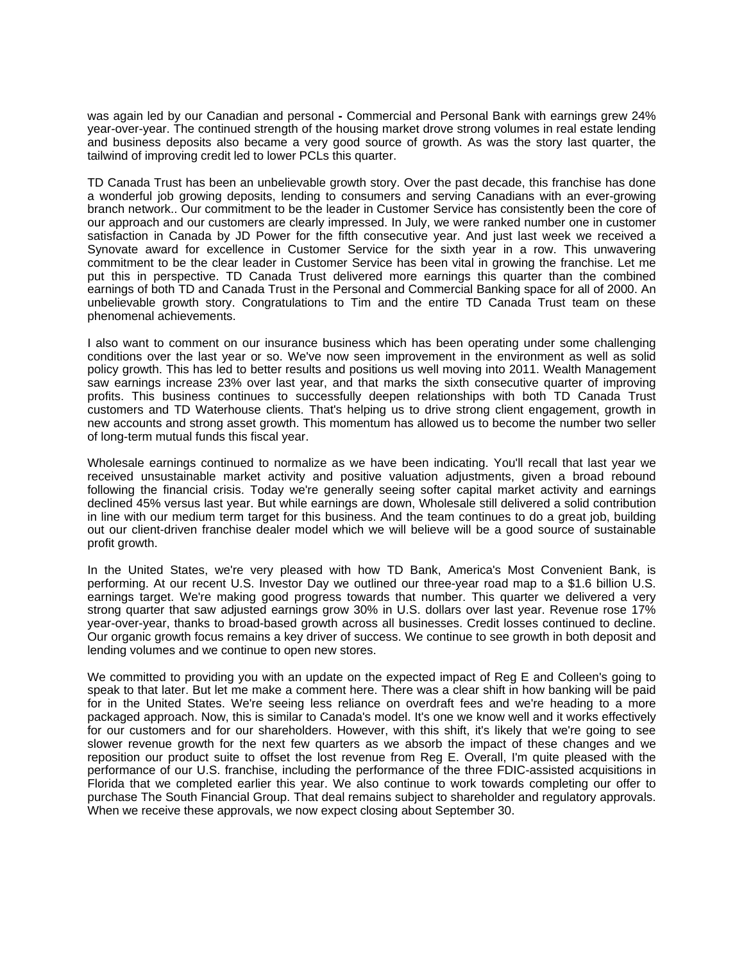was again led by our Canadian and personal **-** Commercial and Personal Bank with earnings grew 24% year-over-year. The continued strength of the housing market drove strong volumes in real estate lending and business deposits also became a very good source of growth. As was the story last quarter, the tailwind of improving credit led to lower PCLs this quarter.

TD Canada Trust has been an unbelievable growth story. Over the past decade, this franchise has done a wonderful job growing deposits, lending to consumers and serving Canadians with an ever-growing branch network.. Our commitment to be the leader in Customer Service has consistently been the core of our approach and our customers are clearly impressed. In July, we were ranked number one in customer satisfaction in Canada by JD Power for the fifth consecutive year. And just last week we received a Synovate award for excellence in Customer Service for the sixth year in a row. This unwavering commitment to be the clear leader in Customer Service has been vital in growing the franchise. Let me put this in perspective. TD Canada Trust delivered more earnings this quarter than the combined earnings of both TD and Canada Trust in the Personal and Commercial Banking space for all of 2000. An unbelievable growth story. Congratulations to Tim and the entire TD Canada Trust team on these phenomenal achievements.

I also want to comment on our insurance business which has been operating under some challenging conditions over the last year or so. We've now seen improvement in the environment as well as solid policy growth. This has led to better results and positions us well moving into 2011. Wealth Management saw earnings increase 23% over last year, and that marks the sixth consecutive quarter of improving profits. This business continues to successfully deepen relationships with both TD Canada Trust customers and TD Waterhouse clients. That's helping us to drive strong client engagement, growth in new accounts and strong asset growth. This momentum has allowed us to become the number two seller of long-term mutual funds this fiscal year.

Wholesale earnings continued to normalize as we have been indicating. You'll recall that last year we received unsustainable market activity and positive valuation adjustments, given a broad rebound following the financial crisis. Today we're generally seeing softer capital market activity and earnings declined 45% versus last year. But while earnings are down, Wholesale still delivered a solid contribution in line with our medium term target for this business. And the team continues to do a great job, building out our client-driven franchise dealer model which we will believe will be a good source of sustainable profit growth.

In the United States, we're very pleased with how TD Bank, America's Most Convenient Bank, is performing. At our recent U.S. Investor Day we outlined our three-year road map to a \$1.6 billion U.S. earnings target. We're making good progress towards that number. This quarter we delivered a very strong quarter that saw adjusted earnings grow 30% in U.S. dollars over last year. Revenue rose 17% year-over-year, thanks to broad-based growth across all businesses. Credit losses continued to decline. Our organic growth focus remains a key driver of success. We continue to see growth in both deposit and lending volumes and we continue to open new stores.

We committed to providing you with an update on the expected impact of Reg E and Colleen's going to speak to that later. But let me make a comment here. There was a clear shift in how banking will be paid for in the United States. We're seeing less reliance on overdraft fees and we're heading to a more packaged approach. Now, this is similar to Canada's model. It's one we know well and it works effectively for our customers and for our shareholders. However, with this shift, it's likely that we're going to see slower revenue growth for the next few quarters as we absorb the impact of these changes and we reposition our product suite to offset the lost revenue from Reg E. Overall, I'm quite pleased with the performance of our U.S. franchise, including the performance of the three FDIC-assisted acquisitions in Florida that we completed earlier this year. We also continue to work towards completing our offer to purchase The South Financial Group. That deal remains subject to shareholder and regulatory approvals. When we receive these approvals, we now expect closing about September 30.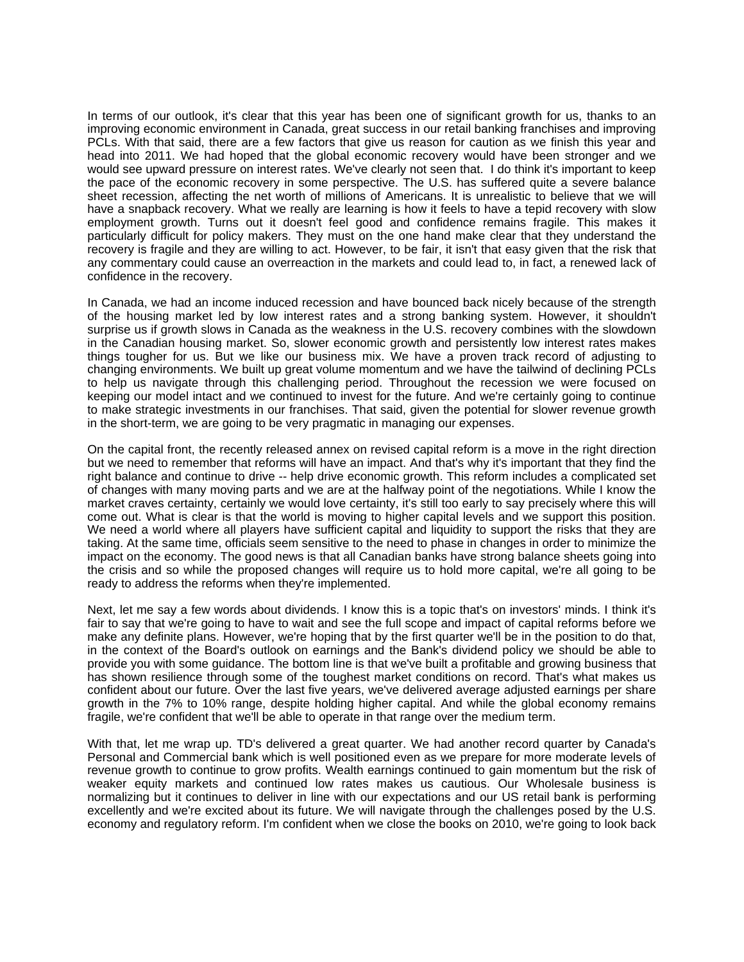In terms of our outlook, it's clear that this year has been one of significant growth for us, thanks to an improving economic environment in Canada, great success in our retail banking franchises and improving PCLs. With that said, there are a few factors that give us reason for caution as we finish this year and head into 2011. We had hoped that the global economic recovery would have been stronger and we would see upward pressure on interest rates. We've clearly not seen that. I do think it's important to keep the pace of the economic recovery in some perspective. The U.S. has suffered quite a severe balance sheet recession, affecting the net worth of millions of Americans. It is unrealistic to believe that we will have a snapback recovery. What we really are learning is how it feels to have a tepid recovery with slow employment growth. Turns out it doesn't feel good and confidence remains fragile. This makes it particularly difficult for policy makers. They must on the one hand make clear that they understand the recovery is fragile and they are willing to act. However, to be fair, it isn't that easy given that the risk that any commentary could cause an overreaction in the markets and could lead to, in fact, a renewed lack of confidence in the recovery.

In Canada, we had an income induced recession and have bounced back nicely because of the strength of the housing market led by low interest rates and a strong banking system. However, it shouldn't surprise us if growth slows in Canada as the weakness in the U.S. recovery combines with the slowdown in the Canadian housing market. So, slower economic growth and persistently low interest rates makes things tougher for us. But we like our business mix. We have a proven track record of adjusting to changing environments. We built up great volume momentum and we have the tailwind of declining PCLs to help us navigate through this challenging period. Throughout the recession we were focused on keeping our model intact and we continued to invest for the future. And we're certainly going to continue to make strategic investments in our franchises. That said, given the potential for slower revenue growth in the short-term, we are going to be very pragmatic in managing our expenses.

On the capital front, the recently released annex on revised capital reform is a move in the right direction but we need to remember that reforms will have an impact. And that's why it's important that they find the right balance and continue to drive -- help drive economic growth. This reform includes a complicated set of changes with many moving parts and we are at the halfway point of the negotiations. While I know the market craves certainty, certainly we would love certainty, it's still too early to say precisely where this will come out. What is clear is that the world is moving to higher capital levels and we support this position. We need a world where all players have sufficient capital and liquidity to support the risks that they are taking. At the same time, officials seem sensitive to the need to phase in changes in order to minimize the impact on the economy. The good news is that all Canadian banks have strong balance sheets going into the crisis and so while the proposed changes will require us to hold more capital, we're all going to be ready to address the reforms when they're implemented.

Next, let me say a few words about dividends. I know this is a topic that's on investors' minds. I think it's fair to say that we're going to have to wait and see the full scope and impact of capital reforms before we make any definite plans. However, we're hoping that by the first quarter we'll be in the position to do that, in the context of the Board's outlook on earnings and the Bank's dividend policy we should be able to provide you with some guidance. The bottom line is that we've built a profitable and growing business that has shown resilience through some of the toughest market conditions on record. That's what makes us confident about our future. Over the last five years, we've delivered average adjusted earnings per share growth in the 7% to 10% range, despite holding higher capital. And while the global economy remains fragile, we're confident that we'll be able to operate in that range over the medium term.

With that, let me wrap up. TD's delivered a great quarter. We had another record quarter by Canada's Personal and Commercial bank which is well positioned even as we prepare for more moderate levels of revenue growth to continue to grow profits. Wealth earnings continued to gain momentum but the risk of weaker equity markets and continued low rates makes us cautious. Our Wholesale business is normalizing but it continues to deliver in line with our expectations and our US retail bank is performing excellently and we're excited about its future. We will navigate through the challenges posed by the U.S. economy and regulatory reform. I'm confident when we close the books on 2010, we're going to look back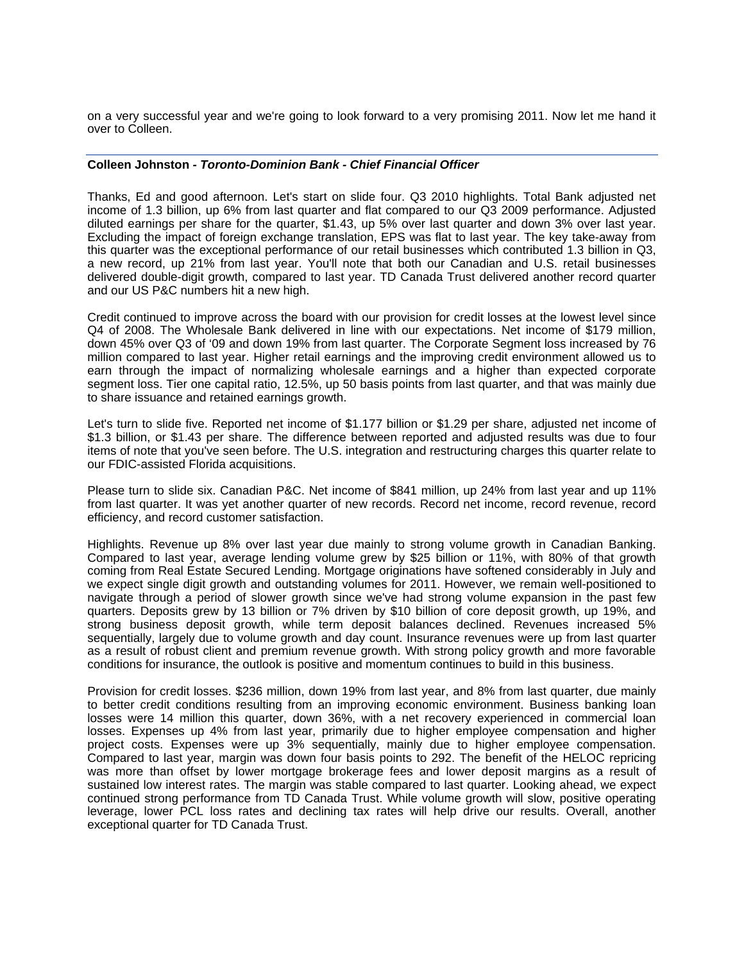on a very successful year and we're going to look forward to a very promising 2011. Now let me hand it over to Colleen.

#### **Colleen Johnston** *- Toronto-Dominion Bank - Chief Financial Officer*

Thanks, Ed and good afternoon. Let's start on slide four. Q3 2010 highlights. Total Bank adjusted net income of 1.3 billion, up 6% from last quarter and flat compared to our Q3 2009 performance. Adjusted diluted earnings per share for the quarter, \$1.43, up 5% over last quarter and down 3% over last year. Excluding the impact of foreign exchange translation, EPS was flat to last year. The key take-away from this quarter was the exceptional performance of our retail businesses which contributed 1.3 billion in Q3, a new record, up 21% from last year. You'll note that both our Canadian and U.S. retail businesses delivered double-digit growth, compared to last year. TD Canada Trust delivered another record quarter and our US P&C numbers hit a new high.

Credit continued to improve across the board with our provision for credit losses at the lowest level since Q4 of 2008. The Wholesale Bank delivered in line with our expectations. Net income of \$179 million, down 45% over Q3 of '09 and down 19% from last quarter. The Corporate Segment loss increased by 76 million compared to last year. Higher retail earnings and the improving credit environment allowed us to earn through the impact of normalizing wholesale earnings and a higher than expected corporate segment loss. Tier one capital ratio, 12.5%, up 50 basis points from last quarter, and that was mainly due to share issuance and retained earnings growth.

Let's turn to slide five. Reported net income of \$1.177 billion or \$1.29 per share, adjusted net income of \$1.3 billion, or \$1.43 per share. The difference between reported and adjusted results was due to four items of note that you've seen before. The U.S. integration and restructuring charges this quarter relate to our FDIC-assisted Florida acquisitions.

Please turn to slide six. Canadian P&C. Net income of \$841 million, up 24% from last year and up 11% from last quarter. It was yet another quarter of new records. Record net income, record revenue, record efficiency, and record customer satisfaction.

Highlights. Revenue up 8% over last year due mainly to strong volume growth in Canadian Banking. Compared to last year, average lending volume grew by \$25 billion or 11%, with 80% of that growth coming from Real Estate Secured Lending. Mortgage originations have softened considerably in July and we expect single digit growth and outstanding volumes for 2011. However, we remain well-positioned to navigate through a period of slower growth since we've had strong volume expansion in the past few quarters. Deposits grew by 13 billion or 7% driven by \$10 billion of core deposit growth, up 19%, and strong business deposit growth, while term deposit balances declined. Revenues increased 5% sequentially, largely due to volume growth and day count. Insurance revenues were up from last quarter as a result of robust client and premium revenue growth. With strong policy growth and more favorable conditions for insurance, the outlook is positive and momentum continues to build in this business.

Provision for credit losses. \$236 million, down 19% from last year, and 8% from last quarter, due mainly to better credit conditions resulting from an improving economic environment. Business banking loan losses were 14 million this quarter, down 36%, with a net recovery experienced in commercial loan losses. Expenses up 4% from last year, primarily due to higher employee compensation and higher project costs. Expenses were up 3% sequentially, mainly due to higher employee compensation. Compared to last year, margin was down four basis points to 292. The benefit of the HELOC repricing was more than offset by lower mortgage brokerage fees and lower deposit margins as a result of sustained low interest rates. The margin was stable compared to last quarter. Looking ahead, we expect continued strong performance from TD Canada Trust. While volume growth will slow, positive operating leverage, lower PCL loss rates and declining tax rates will help drive our results. Overall, another exceptional quarter for TD Canada Trust.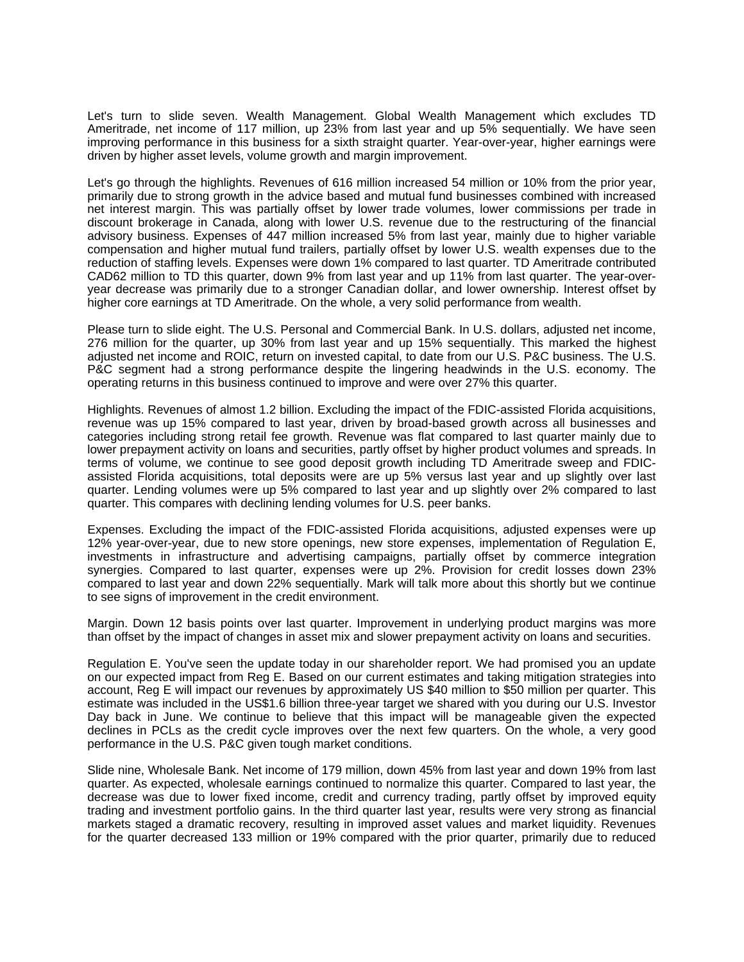Let's turn to slide seven. Wealth Management. Global Wealth Management which excludes TD Ameritrade, net income of 117 million, up 23% from last year and up 5% sequentially. We have seen improving performance in this business for a sixth straight quarter. Year-over-year, higher earnings were driven by higher asset levels, volume growth and margin improvement.

Let's go through the highlights. Revenues of 616 million increased 54 million or 10% from the prior year, primarily due to strong growth in the advice based and mutual fund businesses combined with increased net interest margin. This was partially offset by lower trade volumes, lower commissions per trade in discount brokerage in Canada, along with lower U.S. revenue due to the restructuring of the financial advisory business. Expenses of 447 million increased 5% from last year, mainly due to higher variable compensation and higher mutual fund trailers, partially offset by lower U.S. wealth expenses due to the reduction of staffing levels. Expenses were down 1% compared to last quarter. TD Ameritrade contributed CAD62 million to TD this quarter, down 9% from last year and up 11% from last quarter. The year-overyear decrease was primarily due to a stronger Canadian dollar, and lower ownership. Interest offset by higher core earnings at TD Ameritrade. On the whole, a very solid performance from wealth.

Please turn to slide eight. The U.S. Personal and Commercial Bank. In U.S. dollars, adjusted net income, 276 million for the quarter, up 30% from last year and up 15% sequentially. This marked the highest adjusted net income and ROIC, return on invested capital, to date from our U.S. P&C business. The U.S. P&C segment had a strong performance despite the lingering headwinds in the U.S. economy. The operating returns in this business continued to improve and were over 27% this quarter.

Highlights. Revenues of almost 1.2 billion. Excluding the impact of the FDIC-assisted Florida acquisitions, revenue was up 15% compared to last year, driven by broad-based growth across all businesses and categories including strong retail fee growth. Revenue was flat compared to last quarter mainly due to lower prepayment activity on loans and securities, partly offset by higher product volumes and spreads. In terms of volume, we continue to see good deposit growth including TD Ameritrade sweep and FDICassisted Florida acquisitions, total deposits were are up 5% versus last year and up slightly over last quarter. Lending volumes were up 5% compared to last year and up slightly over 2% compared to last quarter. This compares with declining lending volumes for U.S. peer banks.

Expenses. Excluding the impact of the FDIC-assisted Florida acquisitions, adjusted expenses were up 12% year-over-year, due to new store openings, new store expenses, implementation of Regulation E, investments in infrastructure and advertising campaigns, partially offset by commerce integration synergies. Compared to last quarter, expenses were up 2%. Provision for credit losses down 23% compared to last year and down 22% sequentially. Mark will talk more about this shortly but we continue to see signs of improvement in the credit environment.

Margin. Down 12 basis points over last quarter. Improvement in underlying product margins was more than offset by the impact of changes in asset mix and slower prepayment activity on loans and securities.

Regulation E. You've seen the update today in our shareholder report. We had promised you an update on our expected impact from Reg E. Based on our current estimates and taking mitigation strategies into account, Reg E will impact our revenues by approximately US \$40 million to \$50 million per quarter. This estimate was included in the US\$1.6 billion three-year target we shared with you during our U.S. Investor Day back in June. We continue to believe that this impact will be manageable given the expected declines in PCLs as the credit cycle improves over the next few quarters. On the whole, a very good performance in the U.S. P&C given tough market conditions.

Slide nine, Wholesale Bank. Net income of 179 million, down 45% from last year and down 19% from last quarter. As expected, wholesale earnings continued to normalize this quarter. Compared to last year, the decrease was due to lower fixed income, credit and currency trading, partly offset by improved equity trading and investment portfolio gains. In the third quarter last year, results were very strong as financial markets staged a dramatic recovery, resulting in improved asset values and market liquidity. Revenues for the quarter decreased 133 million or 19% compared with the prior quarter, primarily due to reduced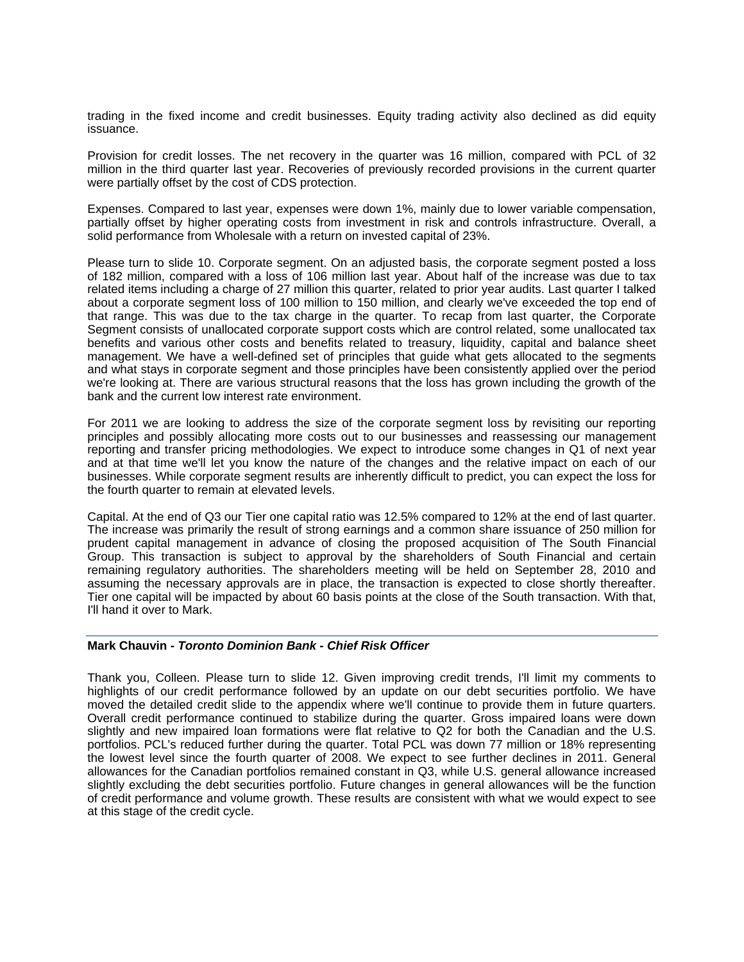trading in the fixed income and credit businesses. Equity trading activity also declined as did equity issuance.

Provision for credit losses. The net recovery in the quarter was 16 million, compared with PCL of 32 million in the third quarter last year. Recoveries of previously recorded provisions in the current quarter were partially offset by the cost of CDS protection.

Expenses. Compared to last year, expenses were down 1%, mainly due to lower variable compensation, partially offset by higher operating costs from investment in risk and controls infrastructure. Overall, a solid performance from Wholesale with a return on invested capital of 23%.

Please turn to slide 10. Corporate segment. On an adjusted basis, the corporate segment posted a loss of 182 million, compared with a loss of 106 million last year. About half of the increase was due to tax related items including a charge of 27 million this quarter, related to prior year audits. Last quarter I talked about a corporate segment loss of 100 million to 150 million, and clearly we've exceeded the top end of that range. This was due to the tax charge in the quarter. To recap from last quarter, the Corporate Segment consists of unallocated corporate support costs which are control related, some unallocated tax benefits and various other costs and benefits related to treasury, liquidity, capital and balance sheet management. We have a well-defined set of principles that guide what gets allocated to the segments and what stays in corporate segment and those principles have been consistently applied over the period we're looking at. There are various structural reasons that the loss has grown including the growth of the bank and the current low interest rate environment.

For 2011 we are looking to address the size of the corporate segment loss by revisiting our reporting principles and possibly allocating more costs out to our businesses and reassessing our management reporting and transfer pricing methodologies. We expect to introduce some changes in Q1 of next year and at that time we'll let you know the nature of the changes and the relative impact on each of our businesses. While corporate segment results are inherently difficult to predict, you can expect the loss for the fourth quarter to remain at elevated levels.

Capital. At the end of Q3 our Tier one capital ratio was 12.5% compared to 12% at the end of last quarter. The increase was primarily the result of strong earnings and a common share issuance of 250 million for prudent capital management in advance of closing the proposed acquisition of The South Financial Group. This transaction is subject to approval by the shareholders of South Financial and certain remaining regulatory authorities. The shareholders meeting will be held on September 28, 2010 and assuming the necessary approvals are in place, the transaction is expected to close shortly thereafter. Tier one capital will be impacted by about 60 basis points at the close of the South transaction. With that, I'll hand it over to Mark.

## **Mark Chauvin** *- Toronto Dominion Bank - Chief Risk Officer*

Thank you, Colleen. Please turn to slide 12. Given improving credit trends, I'll limit my comments to highlights of our credit performance followed by an update on our debt securities portfolio. We have moved the detailed credit slide to the appendix where we'll continue to provide them in future quarters. Overall credit performance continued to stabilize during the quarter. Gross impaired loans were down slightly and new impaired loan formations were flat relative to Q2 for both the Canadian and the U.S. portfolios. PCL's reduced further during the quarter. Total PCL was down 77 million or 18% representing the lowest level since the fourth quarter of 2008. We expect to see further declines in 2011. General allowances for the Canadian portfolios remained constant in Q3, while U.S. general allowance increased slightly excluding the debt securities portfolio. Future changes in general allowances will be the function of credit performance and volume growth. These results are consistent with what we would expect to see at this stage of the credit cycle.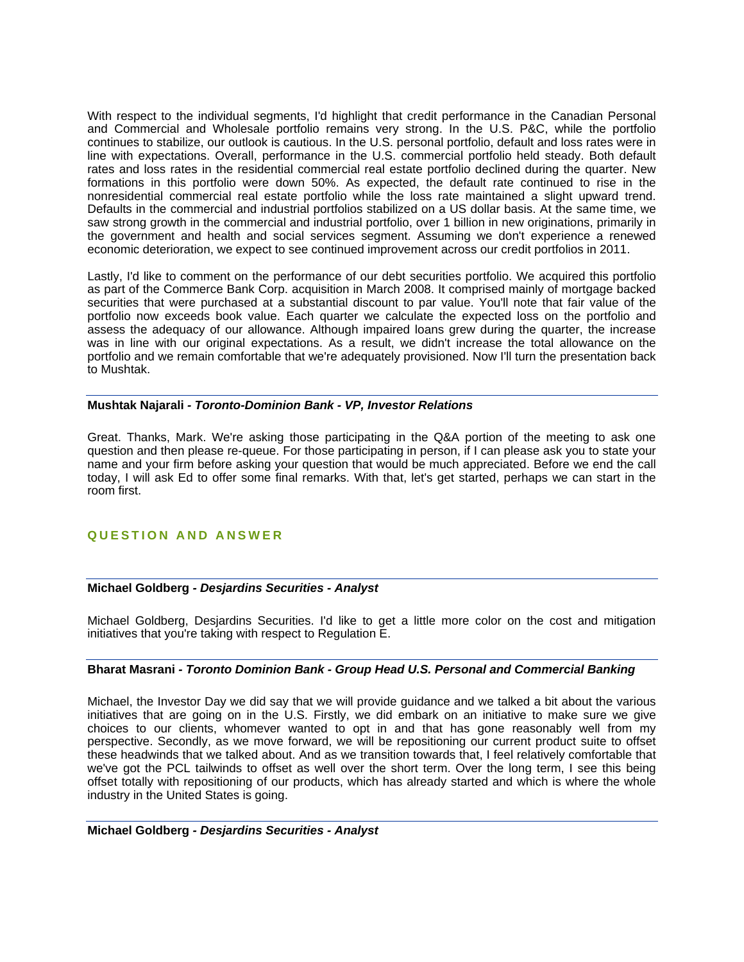With respect to the individual segments, I'd highlight that credit performance in the Canadian Personal and Commercial and Wholesale portfolio remains very strong. In the U.S. P&C, while the portfolio continues to stabilize, our outlook is cautious. In the U.S. personal portfolio, default and loss rates were in line with expectations. Overall, performance in the U.S. commercial portfolio held steady. Both default rates and loss rates in the residential commercial real estate portfolio declined during the quarter. New formations in this portfolio were down 50%. As expected, the default rate continued to rise in the nonresidential commercial real estate portfolio while the loss rate maintained a slight upward trend. Defaults in the commercial and industrial portfolios stabilized on a US dollar basis. At the same time, we saw strong growth in the commercial and industrial portfolio, over 1 billion in new originations, primarily in the government and health and social services segment. Assuming we don't experience a renewed economic deterioration, we expect to see continued improvement across our credit portfolios in 2011.

Lastly, I'd like to comment on the performance of our debt securities portfolio. We acquired this portfolio as part of the Commerce Bank Corp. acquisition in March 2008. It comprised mainly of mortgage backed securities that were purchased at a substantial discount to par value. You'll note that fair value of the portfolio now exceeds book value. Each quarter we calculate the expected loss on the portfolio and assess the adequacy of our allowance. Although impaired loans grew during the quarter, the increase was in line with our original expectations. As a result, we didn't increase the total allowance on the portfolio and we remain comfortable that we're adequately provisioned. Now I'll turn the presentation back to Mushtak.

#### **Mushtak Najarali** *- Toronto-Dominion Bank - VP, Investor Relations*

Great. Thanks, Mark. We're asking those participating in the Q&A portion of the meeting to ask one question and then please re-queue. For those participating in person, if I can please ask you to state your name and your firm before asking your question that would be much appreciated. Before we end the call today, I will ask Ed to offer some final remarks. With that, let's get started, perhaps we can start in the room first.

## **QUESTION AND ANSWER**

## **Michael Goldberg** *- Desjardins Securities - Analyst*

Michael Goldberg, Desjardins Securities. I'd like to get a little more color on the cost and mitigation initiatives that you're taking with respect to Regulation E.

## **Bharat Masrani** *- Toronto Dominion Bank - Group Head U.S. Personal and Commercial Banking*

Michael, the Investor Day we did say that we will provide guidance and we talked a bit about the various initiatives that are going on in the U.S. Firstly, we did embark on an initiative to make sure we give choices to our clients, whomever wanted to opt in and that has gone reasonably well from my perspective. Secondly, as we move forward, we will be repositioning our current product suite to offset these headwinds that we talked about. And as we transition towards that, I feel relatively comfortable that we've got the PCL tailwinds to offset as well over the short term. Over the long term, I see this being offset totally with repositioning of our products, which has already started and which is where the whole industry in the United States is going.

#### **Michael Goldberg** *- Desjardins Securities - Analyst*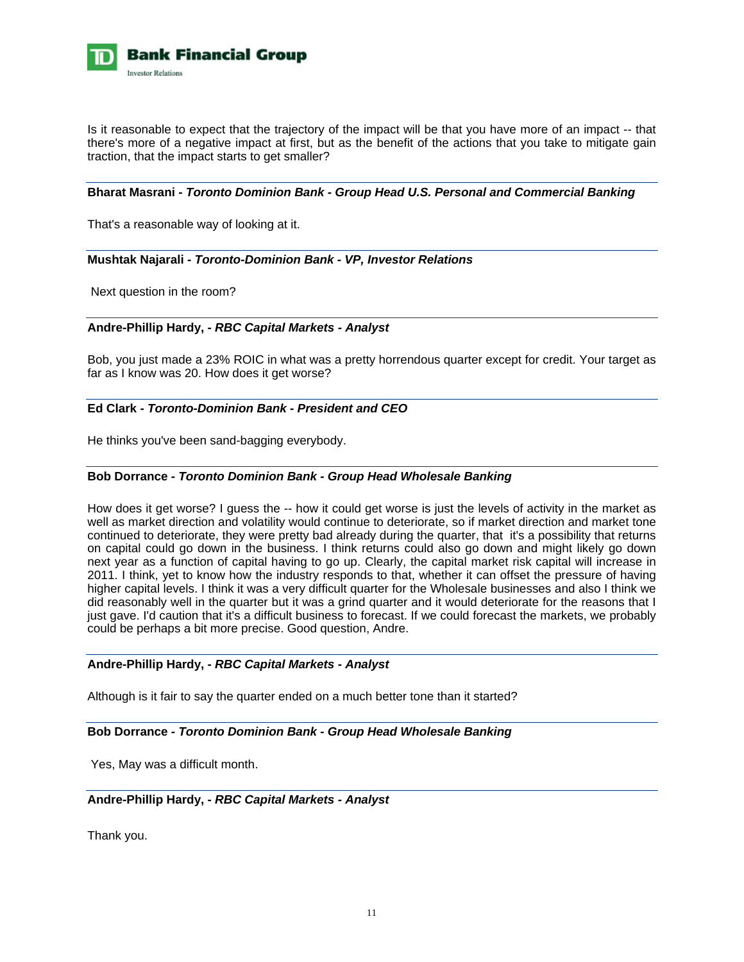

Is it reasonable to expect that the trajectory of the impact will be that you have more of an impact -- that there's more of a negative impact at first, but as the benefit of the actions that you take to mitigate gain traction, that the impact starts to get smaller?

#### **Bharat Masrani** *- Toronto Dominion Bank - Group Head U.S. Personal and Commercial Banking*

That's a reasonable way of looking at it.

## **Mushtak Najarali** *- Toronto-Dominion Bank - VP, Investor Relations*

Next question in the room?

#### **Andre-Phillip Hardy, -** *RBC Capital Markets* **-** *Analyst*

Bob, you just made a 23% ROIC in what was a pretty horrendous quarter except for credit. Your target as far as I know was 20. How does it get worse?

## **Ed Clark** *- Toronto-Dominion Bank - President and CEO*

He thinks you've been sand-bagging everybody.

#### **Bob Dorrance** *- Toronto Dominion Bank - Group Head Wholesale Banking*

How does it get worse? I guess the -- how it could get worse is just the levels of activity in the market as well as market direction and volatility would continue to deteriorate, so if market direction and market tone continued to deteriorate, they were pretty bad already during the quarter, that it's a possibility that returns on capital could go down in the business. I think returns could also go down and might likely go down next year as a function of capital having to go up. Clearly, the capital market risk capital will increase in 2011. I think, yet to know how the industry responds to that, whether it can offset the pressure of having higher capital levels. I think it was a very difficult quarter for the Wholesale businesses and also I think we did reasonably well in the quarter but it was a grind quarter and it would deteriorate for the reasons that I just gave. I'd caution that it's a difficult business to forecast. If we could forecast the markets, we probably could be perhaps a bit more precise. Good question, Andre.

## **Andre-Phillip Hardy, -** *RBC Capital Markets* **-** *Analyst*

Although is it fair to say the quarter ended on a much better tone than it started?

## **Bob Dorrance** *- Toronto Dominion Bank - Group Head Wholesale Banking*

Yes, May was a difficult month.

#### **Andre-Phillip Hardy, -** *RBC Capital Markets* **-** *Analyst*

Thank you.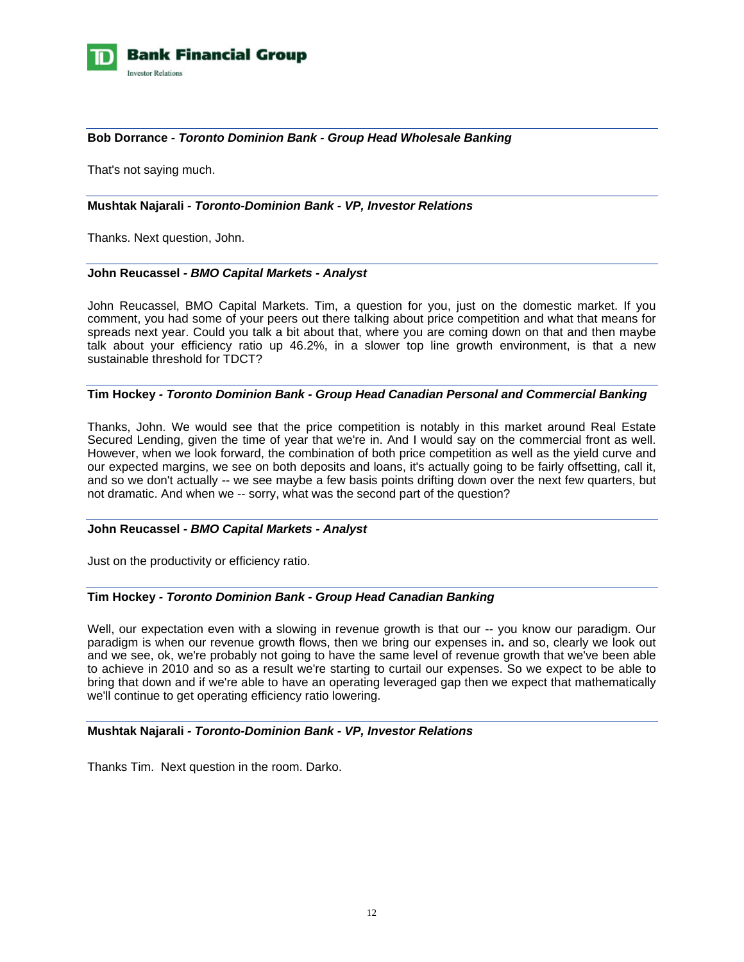

## **Bob Dorrance** *- Toronto Dominion Bank - Group Head Wholesale Banking*

That's not saying much.

#### **Mushtak Najarali** *- Toronto-Dominion Bank - VP, Investor Relations*

Thanks. Next question, John.

#### **John Reucassel** *- BMO Capital Markets - Analyst*

John Reucassel, BMO Capital Markets. Tim, a question for you, just on the domestic market. If you comment, you had some of your peers out there talking about price competition and what that means for spreads next year. Could you talk a bit about that, where you are coming down on that and then maybe talk about your efficiency ratio up 46.2%, in a slower top line growth environment, is that a new sustainable threshold for TDCT?

#### **Tim Hockey** *- Toronto Dominion Bank - Group Head Canadian Personal and Commercial Banking*

Thanks, John. We would see that the price competition is notably in this market around Real Estate Secured Lending, given the time of year that we're in. And I would say on the commercial front as well. However, when we look forward, the combination of both price competition as well as the yield curve and our expected margins, we see on both deposits and loans, it's actually going to be fairly offsetting, call it, and so we don't actually -- we see maybe a few basis points drifting down over the next few quarters, but not dramatic. And when we -- sorry, what was the second part of the question?

#### **John Reucassel** *- BMO Capital Markets - Analyst*

Just on the productivity or efficiency ratio.

#### **Tim Hockey** *- Toronto Dominion Bank - Group Head Canadian Banking*

Well, our expectation even with a slowing in revenue growth is that our -- you know our paradigm. Our paradigm is when our revenue growth flows, then we bring our expenses in**.** and so, clearly we look out and we see, ok, we're probably not going to have the same level of revenue growth that we've been able to achieve in 2010 and so as a result we're starting to curtail our expenses. So we expect to be able to bring that down and if we're able to have an operating leveraged gap then we expect that mathematically we'll continue to get operating efficiency ratio lowering.

## **Mushtak Najarali** *- Toronto-Dominion Bank - VP, Investor Relations*

Thanks Tim. Next question in the room. Darko.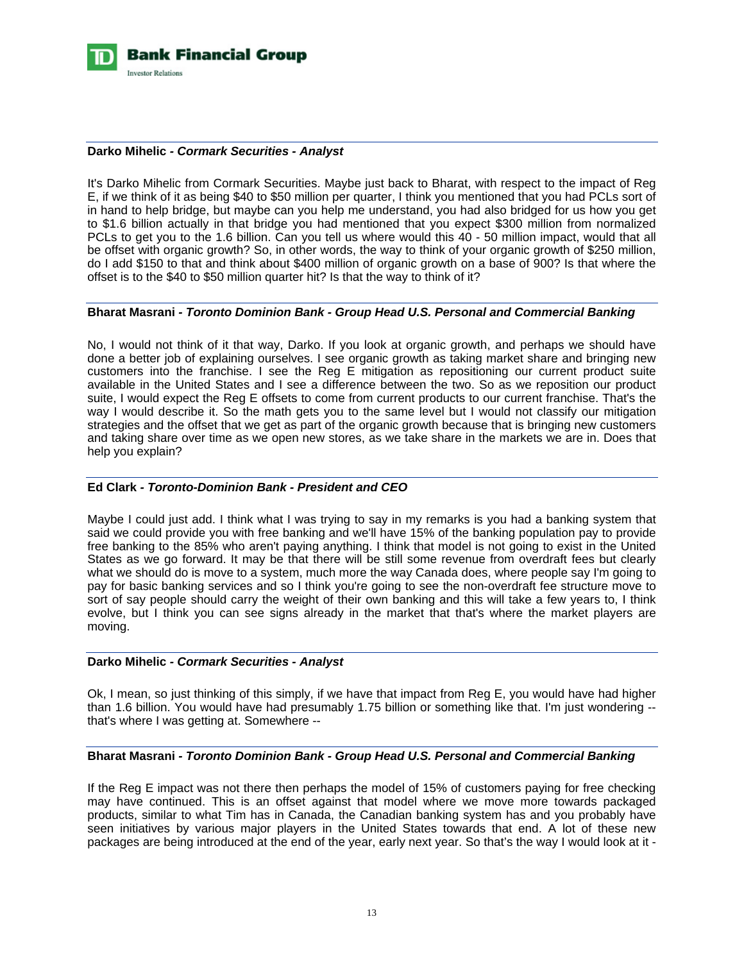

#### **Darko Mihelic** *- Cormark Securities - Analyst*

It's Darko Mihelic from Cormark Securities. Maybe just back to Bharat, with respect to the impact of Reg E, if we think of it as being \$40 to \$50 million per quarter, I think you mentioned that you had PCLs sort of in hand to help bridge, but maybe can you help me understand, you had also bridged for us how you get to \$1.6 billion actually in that bridge you had mentioned that you expect \$300 million from normalized PCLs to get you to the 1.6 billion. Can you tell us where would this 40 - 50 million impact, would that all be offset with organic growth? So, in other words, the way to think of your organic growth of \$250 million, do I add \$150 to that and think about \$400 million of organic growth on a base of 900? Is that where the offset is to the \$40 to \$50 million quarter hit? Is that the way to think of it?

#### **Bharat Masrani** *- Toronto Dominion Bank - Group Head U.S. Personal and Commercial Banking*

No, I would not think of it that way, Darko. If you look at organic growth, and perhaps we should have done a better job of explaining ourselves. I see organic growth as taking market share and bringing new customers into the franchise. I see the Reg E mitigation as repositioning our current product suite available in the United States and I see a difference between the two. So as we reposition our product suite, I would expect the Reg E offsets to come from current products to our current franchise. That's the way I would describe it. So the math gets you to the same level but I would not classify our mitigation strategies and the offset that we get as part of the organic growth because that is bringing new customers and taking share over time as we open new stores, as we take share in the markets we are in. Does that help you explain?

## **Ed Clark** *- Toronto-Dominion Bank - President and CEO*

Maybe I could just add. I think what I was trying to say in my remarks is you had a banking system that said we could provide you with free banking and we'll have 15% of the banking population pay to provide free banking to the 85% who aren't paying anything. I think that model is not going to exist in the United States as we go forward. It may be that there will be still some revenue from overdraft fees but clearly what we should do is move to a system, much more the way Canada does, where people say I'm going to pay for basic banking services and so I think you're going to see the non-overdraft fee structure move to sort of say people should carry the weight of their own banking and this will take a few years to, I think evolve, but I think you can see signs already in the market that that's where the market players are moving.

#### **Darko Mihelic** *- Cormark Securities - Analyst*

Ok, I mean, so just thinking of this simply, if we have that impact from Reg E, you would have had higher than 1.6 billion. You would have had presumably 1.75 billion or something like that. I'm just wondering - that's where I was getting at. Somewhere --

#### **Bharat Masrani** *- Toronto Dominion Bank - Group Head U.S. Personal and Commercial Banking*

If the Reg E impact was not there then perhaps the model of 15% of customers paying for free checking may have continued. This is an offset against that model where we move more towards packaged products, similar to what Tim has in Canada, the Canadian banking system has and you probably have seen initiatives by various major players in the United States towards that end. A lot of these new packages are being introduced at the end of the year, early next year. So that's the way I would look at it -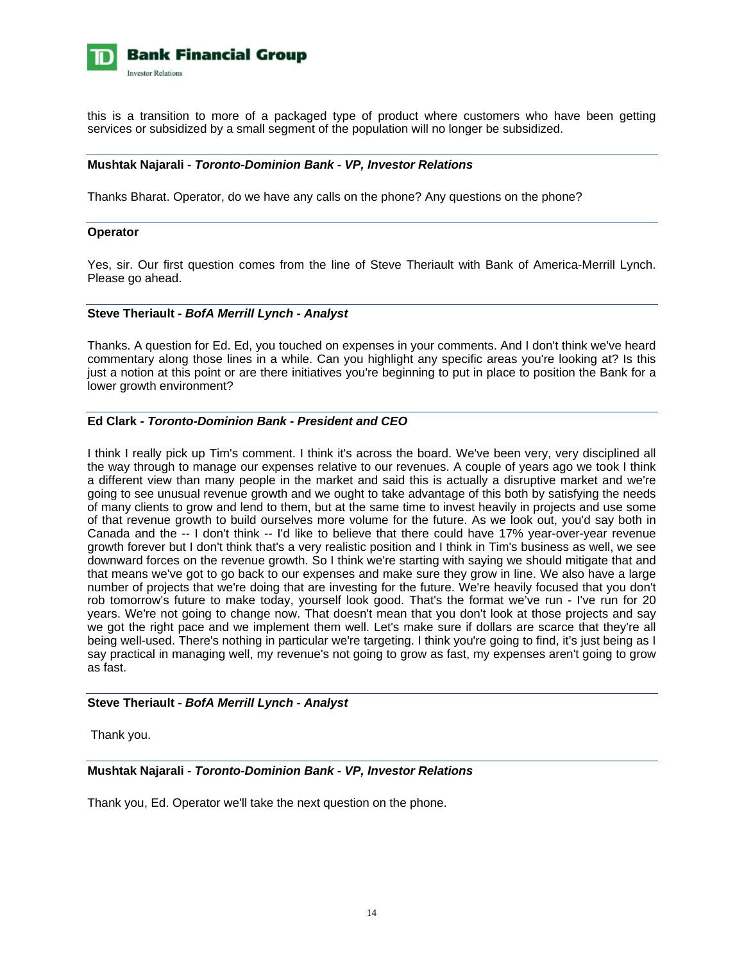

this is a transition to more of a packaged type of product where customers who have been getting services or subsidized by a small segment of the population will no longer be subsidized.

#### **Mushtak Najarali** *- Toronto-Dominion Bank - VP, Investor Relations*

Thanks Bharat. Operator, do we have any calls on the phone? Any questions on the phone?

#### **Operator**

Yes, sir. Our first question comes from the line of Steve Theriault with Bank of America-Merrill Lynch. Please go ahead.

#### **Steve Theriault** *- BofA Merrill Lynch - Analyst*

Thanks. A question for Ed. Ed, you touched on expenses in your comments. And I don't think we've heard commentary along those lines in a while. Can you highlight any specific areas you're looking at? Is this just a notion at this point or are there initiatives you're beginning to put in place to position the Bank for a lower growth environment?

## **Ed Clark** *- Toronto-Dominion Bank - President and CEO*

I think I really pick up Tim's comment. I think it's across the board. We've been very, very disciplined all the way through to manage our expenses relative to our revenues. A couple of years ago we took I think a different view than many people in the market and said this is actually a disruptive market and we're going to see unusual revenue growth and we ought to take advantage of this both by satisfying the needs of many clients to grow and lend to them, but at the same time to invest heavily in projects and use some of that revenue growth to build ourselves more volume for the future. As we look out, you'd say both in Canada and the -- I don't think -- I'd like to believe that there could have 17% year-over-year revenue growth forever but I don't think that's a very realistic position and I think in Tim's business as well, we see downward forces on the revenue growth. So I think we're starting with saying we should mitigate that and that means we've got to go back to our expenses and make sure they grow in line. We also have a large number of projects that we're doing that are investing for the future. We're heavily focused that you don't rob tomorrow's future to make today, yourself look good. That's the format we've run - I've run for 20 years. We're not going to change now. That doesn't mean that you don't look at those projects and say we got the right pace and we implement them well. Let's make sure if dollars are scarce that they're all being well-used. There's nothing in particular we're targeting. I think you're going to find, it's just being as I say practical in managing well, my revenue's not going to grow as fast, my expenses aren't going to grow as fast.

#### **Steve Theriault** *- BofA Merrill Lynch - Analyst*

Thank you.

## **Mushtak Najarali** *- Toronto-Dominion Bank - VP, Investor Relations*

Thank you, Ed. Operator we'll take the next question on the phone.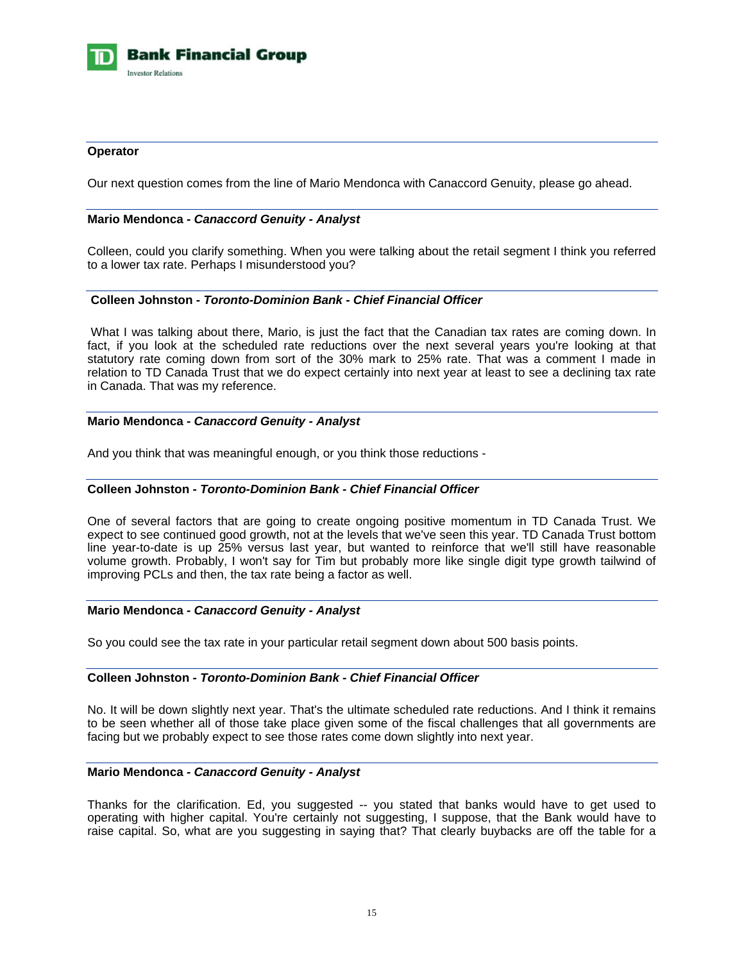

#### **Operator**

Our next question comes from the line of Mario Mendonca with Canaccord Genuity, please go ahead.

#### **Mario Mendonca** *- Canaccord Genuity - Analyst*

Colleen, could you clarify something. When you were talking about the retail segment I think you referred to a lower tax rate. Perhaps I misunderstood you?

## **Colleen Johnston** *- Toronto-Dominion Bank - Chief Financial Officer*

 What I was talking about there, Mario, is just the fact that the Canadian tax rates are coming down. In fact, if you look at the scheduled rate reductions over the next several years you're looking at that statutory rate coming down from sort of the 30% mark to 25% rate. That was a comment I made in relation to TD Canada Trust that we do expect certainly into next year at least to see a declining tax rate in Canada. That was my reference.

#### **Mario Mendonca** *- Canaccord Genuity - Analyst*

And you think that was meaningful enough, or you think those reductions -

## **Colleen Johnston** *- Toronto-Dominion Bank - Chief Financial Officer*

One of several factors that are going to create ongoing positive momentum in TD Canada Trust. We expect to see continued good growth, not at the levels that we've seen this year. TD Canada Trust bottom line year-to-date is up 25% versus last year, but wanted to reinforce that we'll still have reasonable volume growth. Probably, I won't say for Tim but probably more like single digit type growth tailwind of improving PCLs and then, the tax rate being a factor as well.

#### **Mario Mendonca** *- Canaccord Genuity - Analyst*

So you could see the tax rate in your particular retail segment down about 500 basis points.

#### **Colleen Johnston** *- Toronto-Dominion Bank - Chief Financial Officer*

No. It will be down slightly next year. That's the ultimate scheduled rate reductions. And I think it remains to be seen whether all of those take place given some of the fiscal challenges that all governments are facing but we probably expect to see those rates come down slightly into next year.

#### **Mario Mendonca** *- Canaccord Genuity - Analyst*

Thanks for the clarification. Ed, you suggested -- you stated that banks would have to get used to operating with higher capital. You're certainly not suggesting, I suppose, that the Bank would have to raise capital. So, what are you suggesting in saying that? That clearly buybacks are off the table for a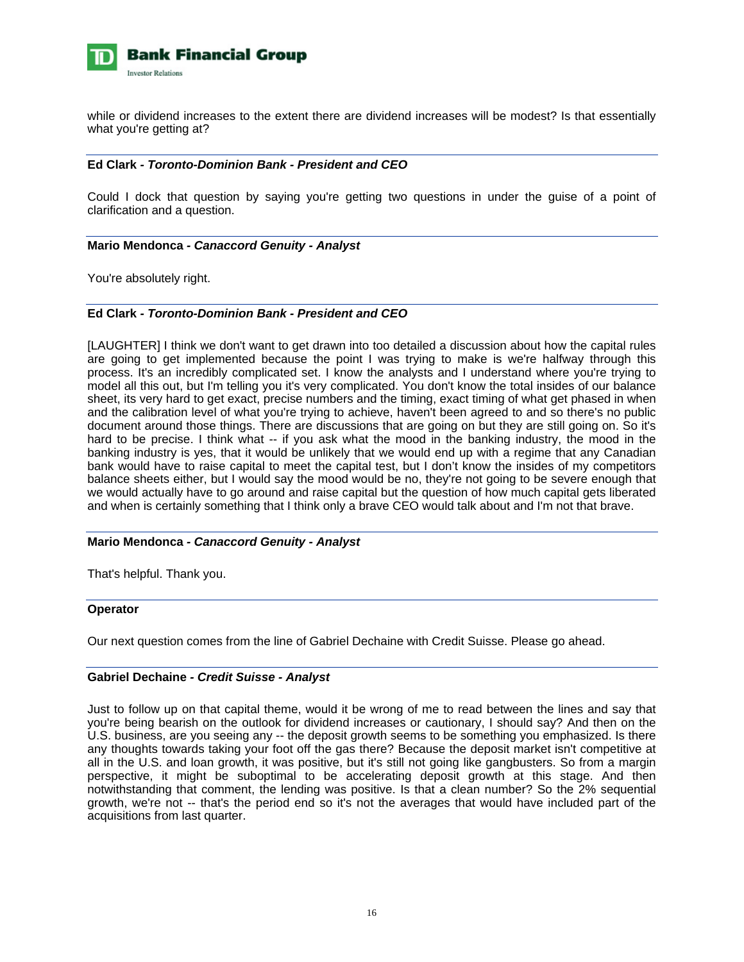

while or dividend increases to the extent there are dividend increases will be modest? Is that essentially what you're getting at?

#### **Ed Clark** *- Toronto-Dominion Bank - President and CEO*

Could I dock that question by saying you're getting two questions in under the guise of a point of clarification and a question.

#### **Mario Mendonca** *- Canaccord Genuity - Analyst*

You're absolutely right.

## **Ed Clark** *- Toronto-Dominion Bank - President and CEO*

[LAUGHTER] I think we don't want to get drawn into too detailed a discussion about how the capital rules are going to get implemented because the point I was trying to make is we're halfway through this process. It's an incredibly complicated set. I know the analysts and I understand where you're trying to model all this out, but I'm telling you it's very complicated. You don't know the total insides of our balance sheet, its very hard to get exact, precise numbers and the timing, exact timing of what get phased in when and the calibration level of what you're trying to achieve, haven't been agreed to and so there's no public document around those things. There are discussions that are going on but they are still going on. So it's hard to be precise. I think what -- if you ask what the mood in the banking industry, the mood in the banking industry is yes, that it would be unlikely that we would end up with a regime that any Canadian bank would have to raise capital to meet the capital test, but I don't know the insides of my competitors balance sheets either, but I would say the mood would be no, they're not going to be severe enough that we would actually have to go around and raise capital but the question of how much capital gets liberated and when is certainly something that I think only a brave CEO would talk about and I'm not that brave.

## **Mario Mendonca** *- Canaccord Genuity - Analyst*

That's helpful. Thank you.

#### **Operator**

Our next question comes from the line of Gabriel Dechaine with Credit Suisse. Please go ahead.

#### **Gabriel Dechaine** *- Credit Suisse - Analyst*

Just to follow up on that capital theme, would it be wrong of me to read between the lines and say that you're being bearish on the outlook for dividend increases or cautionary, I should say? And then on the U.S. business, are you seeing any -- the deposit growth seems to be something you emphasized. Is there any thoughts towards taking your foot off the gas there? Because the deposit market isn't competitive at all in the U.S. and loan growth, it was positive, but it's still not going like gangbusters. So from a margin perspective, it might be suboptimal to be accelerating deposit growth at this stage. And then notwithstanding that comment, the lending was positive. Is that a clean number? So the 2% sequential growth, we're not -- that's the period end so it's not the averages that would have included part of the acquisitions from last quarter.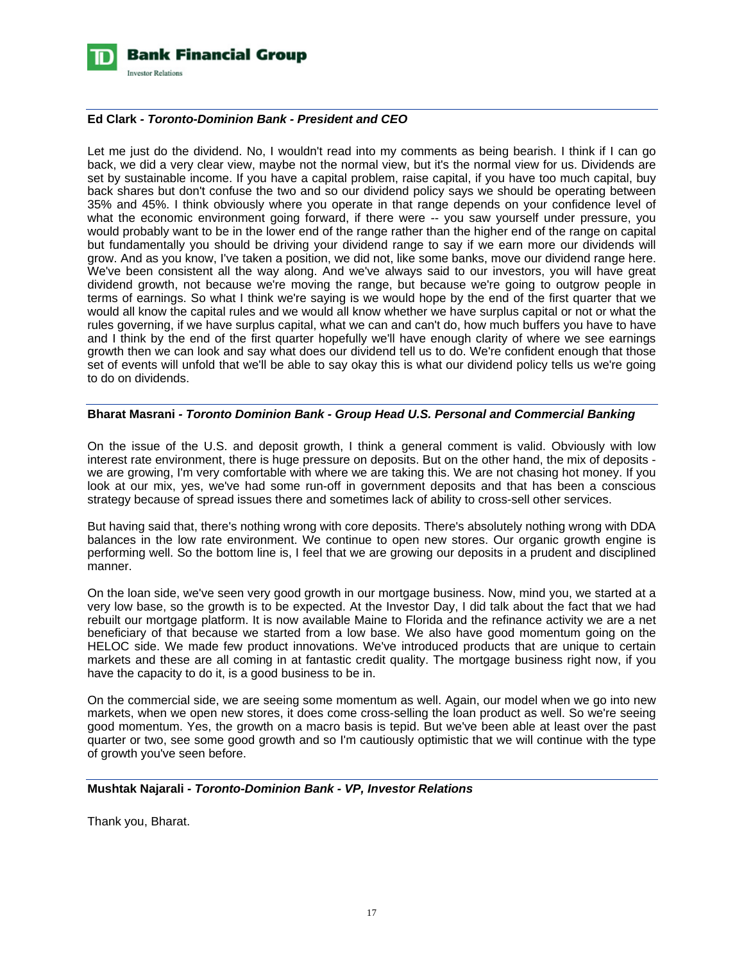

## **Ed Clark** *- Toronto-Dominion Bank - President and CEO*

Let me just do the dividend. No, I wouldn't read into my comments as being bearish. I think if I can go back, we did a very clear view, maybe not the normal view, but it's the normal view for us. Dividends are set by sustainable income. If you have a capital problem, raise capital, if you have too much capital, buy back shares but don't confuse the two and so our dividend policy says we should be operating between 35% and 45%. I think obviously where you operate in that range depends on your confidence level of what the economic environment going forward, if there were -- you saw yourself under pressure, you would probably want to be in the lower end of the range rather than the higher end of the range on capital but fundamentally you should be driving your dividend range to say if we earn more our dividends will grow. And as you know, I've taken a position, we did not, like some banks, move our dividend range here. We've been consistent all the way along. And we've always said to our investors, you will have great dividend growth, not because we're moving the range, but because we're going to outgrow people in terms of earnings. So what I think we're saying is we would hope by the end of the first quarter that we would all know the capital rules and we would all know whether we have surplus capital or not or what the rules governing, if we have surplus capital, what we can and can't do, how much buffers you have to have and I think by the end of the first quarter hopefully we'll have enough clarity of where we see earnings growth then we can look and say what does our dividend tell us to do. We're confident enough that those set of events will unfold that we'll be able to say okay this is what our dividend policy tells us we're going to do on dividends.

#### **Bharat Masrani** *- Toronto Dominion Bank - Group Head U.S. Personal and Commercial Banking*

On the issue of the U.S. and deposit growth, I think a general comment is valid. Obviously with low interest rate environment, there is huge pressure on deposits. But on the other hand, the mix of deposits we are growing, I'm very comfortable with where we are taking this. We are not chasing hot money. If you look at our mix, yes, we've had some run-off in government deposits and that has been a conscious strategy because of spread issues there and sometimes lack of ability to cross-sell other services.

But having said that, there's nothing wrong with core deposits. There's absolutely nothing wrong with DDA balances in the low rate environment. We continue to open new stores. Our organic growth engine is performing well. So the bottom line is, I feel that we are growing our deposits in a prudent and disciplined manner.

On the loan side, we've seen very good growth in our mortgage business. Now, mind you, we started at a very low base, so the growth is to be expected. At the Investor Day, I did talk about the fact that we had rebuilt our mortgage platform. It is now available Maine to Florida and the refinance activity we are a net beneficiary of that because we started from a low base. We also have good momentum going on the HELOC side. We made few product innovations. We've introduced products that are unique to certain markets and these are all coming in at fantastic credit quality. The mortgage business right now, if you have the capacity to do it, is a good business to be in.

On the commercial side, we are seeing some momentum as well. Again, our model when we go into new markets, when we open new stores, it does come cross-selling the loan product as well. So we're seeing good momentum. Yes, the growth on a macro basis is tepid. But we've been able at least over the past quarter or two, see some good growth and so I'm cautiously optimistic that we will continue with the type of growth you've seen before.

## **Mushtak Najarali** *- Toronto-Dominion Bank - VP, Investor Relations*

Thank you, Bharat.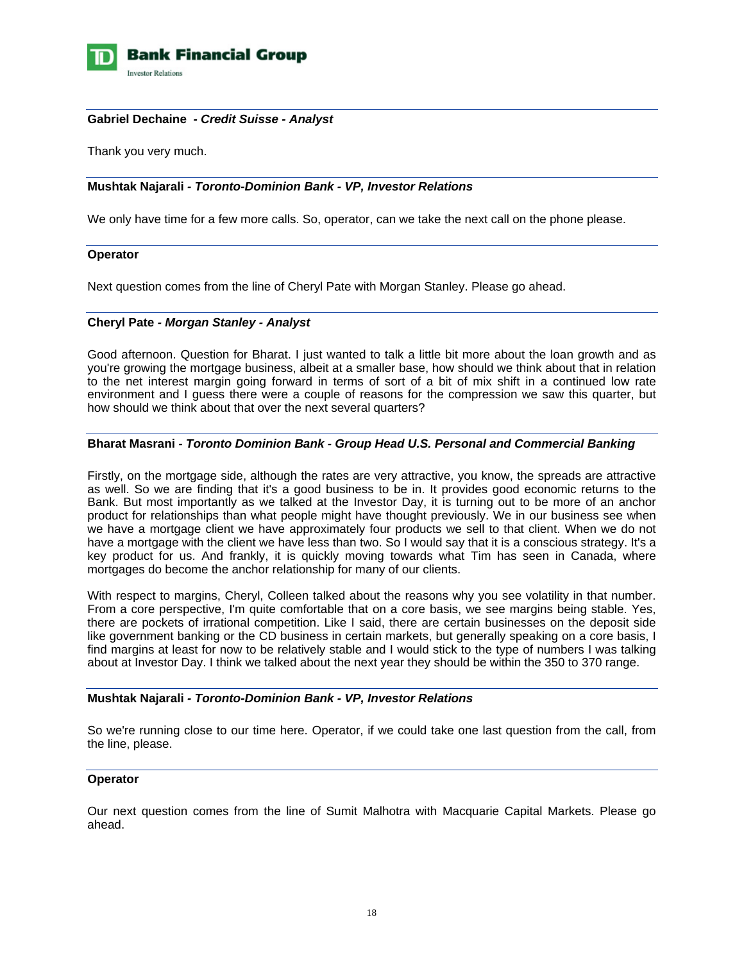

#### **Gabriel Dechaine** *- Credit Suisse - Analyst*

Thank you very much.

## **Mushtak Najarali** *- Toronto-Dominion Bank - VP, Investor Relations*

We only have time for a few more calls. So, operator, can we take the next call on the phone please.

#### **Operator**

Next question comes from the line of Cheryl Pate with Morgan Stanley. Please go ahead.

#### **Cheryl Pate** *- Morgan Stanley - Analyst*

Good afternoon. Question for Bharat. I just wanted to talk a little bit more about the loan growth and as you're growing the mortgage business, albeit at a smaller base, how should we think about that in relation to the net interest margin going forward in terms of sort of a bit of mix shift in a continued low rate environment and I guess there were a couple of reasons for the compression we saw this quarter, but how should we think about that over the next several quarters?

#### **Bharat Masrani** *- Toronto Dominion Bank - Group Head U.S. Personal and Commercial Banking*

Firstly, on the mortgage side, although the rates are very attractive, you know, the spreads are attractive as well. So we are finding that it's a good business to be in. It provides good economic returns to the Bank. But most importantly as we talked at the Investor Day, it is turning out to be more of an anchor product for relationships than what people might have thought previously. We in our business see when we have a mortgage client we have approximately four products we sell to that client. When we do not have a mortgage with the client we have less than two. So I would say that it is a conscious strategy. It's a key product for us. And frankly, it is quickly moving towards what Tim has seen in Canada, where mortgages do become the anchor relationship for many of our clients.

With respect to margins, Cheryl, Colleen talked about the reasons why you see volatility in that number. From a core perspective, I'm quite comfortable that on a core basis, we see margins being stable. Yes, there are pockets of irrational competition. Like I said, there are certain businesses on the deposit side like government banking or the CD business in certain markets, but generally speaking on a core basis, I find margins at least for now to be relatively stable and I would stick to the type of numbers I was talking about at Investor Day. I think we talked about the next year they should be within the 350 to 370 range.

#### **Mushtak Najarali** *- Toronto-Dominion Bank - VP, Investor Relations*

So we're running close to our time here. Operator, if we could take one last question from the call, from the line, please.

#### **Operator**

Our next question comes from the line of Sumit Malhotra with Macquarie Capital Markets. Please go ahead.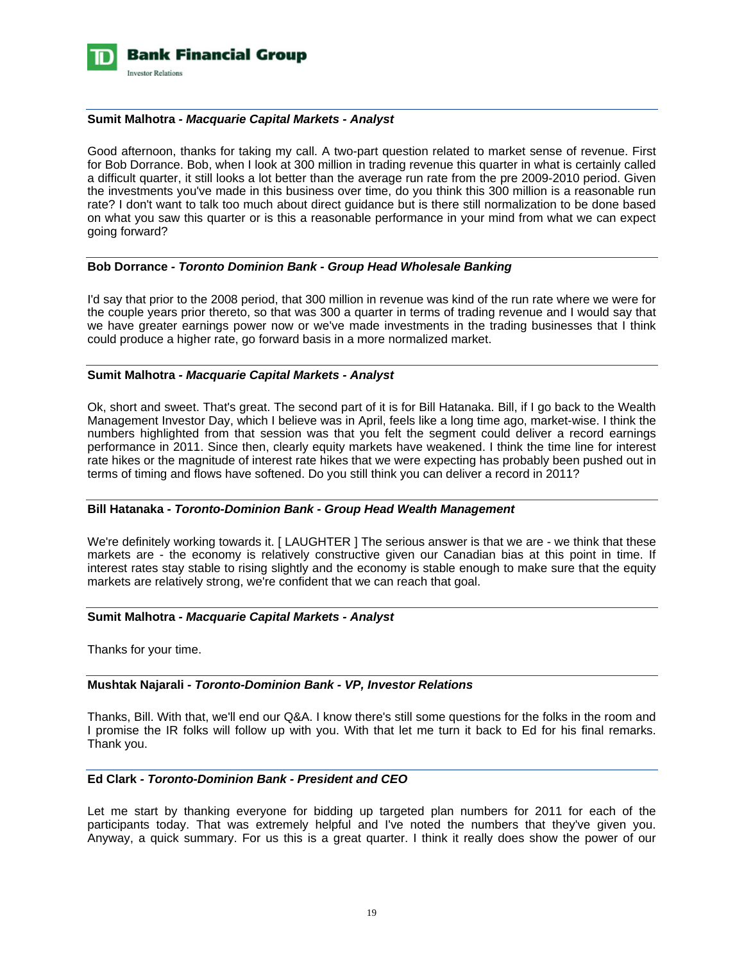

#### **Sumit Malhotra** *- Macquarie Capital Markets - Analyst*

Good afternoon, thanks for taking my call. A two-part question related to market sense of revenue. First for Bob Dorrance. Bob, when I look at 300 million in trading revenue this quarter in what is certainly called a difficult quarter, it still looks a lot better than the average run rate from the pre 2009-2010 period. Given the investments you've made in this business over time, do you think this 300 million is a reasonable run rate? I don't want to talk too much about direct guidance but is there still normalization to be done based on what you saw this quarter or is this a reasonable performance in your mind from what we can expect going forward?

#### **Bob Dorrance** *- Toronto Dominion Bank - Group Head Wholesale Banking*

I'd say that prior to the 2008 period, that 300 million in revenue was kind of the run rate where we were for the couple years prior thereto, so that was 300 a quarter in terms of trading revenue and I would say that we have greater earnings power now or we've made investments in the trading businesses that I think could produce a higher rate, go forward basis in a more normalized market.

#### **Sumit Malhotra** *- Macquarie Capital Markets - Analyst*

Ok, short and sweet. That's great. The second part of it is for Bill Hatanaka. Bill, if I go back to the Wealth Management Investor Day, which I believe was in April, feels like a long time ago, market-wise. I think the numbers highlighted from that session was that you felt the segment could deliver a record earnings performance in 2011. Since then, clearly equity markets have weakened. I think the time line for interest rate hikes or the magnitude of interest rate hikes that we were expecting has probably been pushed out in terms of timing and flows have softened. Do you still think you can deliver a record in 2011?

#### **Bill Hatanaka** *- Toronto-Dominion Bank - Group Head Wealth Management*

We're definitely working towards it. [LAUGHTER] The serious answer is that we are - we think that these markets are - the economy is relatively constructive given our Canadian bias at this point in time. If interest rates stay stable to rising slightly and the economy is stable enough to make sure that the equity markets are relatively strong, we're confident that we can reach that goal.

#### **Sumit Malhotra** *- Macquarie Capital Markets - Analyst*

Thanks for your time.

## **Mushtak Najarali** *- Toronto-Dominion Bank - VP, Investor Relations*

Thanks, Bill. With that, we'll end our Q&A. I know there's still some questions for the folks in the room and I promise the IR folks will follow up with you. With that let me turn it back to Ed for his final remarks. Thank you.

#### **Ed Clark** *- Toronto-Dominion Bank - President and CEO*

Let me start by thanking everyone for bidding up targeted plan numbers for 2011 for each of the participants today. That was extremely helpful and I've noted the numbers that they've given you. Anyway, a quick summary. For us this is a great quarter. I think it really does show the power of our